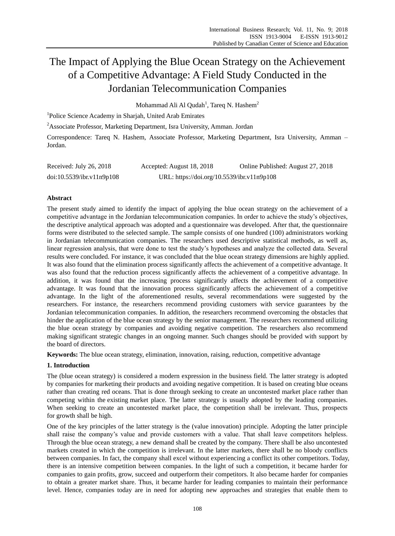# The Impact of Applying the Blue Ocean Strategy on the Achievement of a Competitive Advantage: A Field Study Conducted in the Jordanian Telecommunication Companies

Mohammad Ali Al Qudah<sup>1</sup>, Tareq N. Hashem<sup>2</sup>

<sup>1</sup>Police Science Academy in Sharjah, United Arab Emirates

<sup>2</sup>Associate Professor, Marketing Department, Isra University, Amman. Jordan

Correspondence: Tareq N. Hashem, Associate Professor, Marketing Department, Isra University, Amman – Jordan.

| Received: July 26, 2018   | Accepted: August 18, 2018                  | Online Published: August 27, 2018 |
|---------------------------|--------------------------------------------|-----------------------------------|
| doi:10.5539/ibr.v11n9p108 | URL: https://doi.org/10.5539/ibr.v11n9p108 |                                   |

# **Abstract**

The present study aimed to identify the impact of applying the blue ocean strategy on the achievement of a competitive advantage in the Jordanian telecommunication companies. In order to achieve the study's objectives, the descriptive analytical approach was adopted and a questionnaire was developed. After that, the questionnaire forms were distributed to the selected sample. The sample consists of one hundred (100) administrators working in Jordanian telecommunication companies. The researchers used descriptive statistical methods, as well as, linear regression analysis, that were done to test the study's hypotheses and analyze the collected data. Several results were concluded. For instance, it was concluded that the blue ocean strategy dimensions are highly applied. It was also found that the elimination process significantly affects the achievement of a competitive advantage. It was also found that the reduction process significantly affects the achievement of a competitive advantage. In addition, it was found that the increasing process significantly affects the achievement of a competitive advantage. It was found that the innovation process significantly affects the achievement of a competitive advantage. In the light of the aforementioned results, several recommendations were suggested by the researchers. For instance, the researchers recommend providing customers with service guarantees by the Jordanian telecommunication companies. In addition, the researchers recommend overcoming the obstacles that hinder the application of the blue ocean strategy by the senior management. The researchers recommend utilizing the blue ocean strategy by companies and avoiding negative competition. The researchers also recommend making significant strategic changes in an ongoing manner. Such changes should be provided with support by the board of directors.

**Keywords:** The blue ocean strategy, elimination, innovation, raising, reduction, competitive advantage

# **1. Introduction**

The (blue ocean strategy) is considered a modern expression in the business field. The latter strategy is adopted by companies for marketing their products and avoiding negative competition. It is based on creating blue oceans rather than creating red oceans. That is done through seeking to create an uncontested market place rather than competing within the existing market place. The latter strategy is usually adopted by the leading companies. When seeking to create an uncontested market place, the competition shall be irrelevant. Thus, prospects for growth shall be high.

One of the key principles of the latter strategy is the (value innovation) principle. Adopting the latter principle shall raise the company's value and provide customers with a value. That shall leave competitors helpless. Through the blue ocean strategy, a new demand shall be created by the company. There shall be also uncontested markets created in which the competition is irrelevant. In the latter markets, there shall be no bloody conflicts between companies. In fact, the company shall excel without experiencing a conflict its other competitors. Today, there is an intensive competition between companies. In the light of such a competition, it became harder for companies to gain profits, grow, succeed and outperform their competitors. It also became harder for companies to obtain a greater market share. Thus, it became harder for leading companies to maintain their performance level. Hence, companies today are in need for adopting new approaches and strategies that enable them to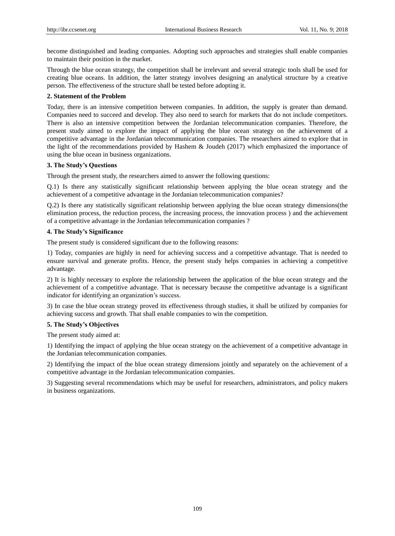become distinguished and leading companies. Adopting such approaches and strategies shall enable companies to maintain their position in the market.

Through the blue ocean strategy, the competition shall be irrelevant and several strategic tools shall be used for creating blue oceans. In addition, the latter strategy involves designing an analytical structure by a creative person. The effectiveness of the structure shall be tested before adopting it.

# **2. Statement of the Problem**

Today, there is an intensive competition between companies. In addition, the supply is greater than demand. Companies need to succeed and develop. They also need to search for markets that do not include competitors. There is also an intensive competition between the Jordanian telecommunication companies. Therefore, the present study aimed to explore the impact of applying the blue ocean strategy on the achievement of a competitive advantage in the Jordanian telecommunication companies. The researchers aimed to explore that in the light of the recommendations provided by Hashem & Joudeh (2017) which emphasized the importance of using the blue ocean in business organizations.

# **3. The Study's Questions**

Through the present study, the researchers aimed to answer the following questions:

Q.1) Is there any statistically significant relationship between applying the blue ocean strategy and the achievement of a competitive advantage in the Jordanian telecommunication companies?

Q.2) Is there any statistically significant relationship between applying the blue ocean strategy dimensions(the elimination process, the reduction process, the increasing process, the innovation process ) and the achievement of a competitive advantage in the Jordanian telecommunication companies ?

# **4. The Study's Significance**

The present study is considered significant due to the following reasons:

1) Today, companies are highly in need for achieving success and a competitive advantage. That is needed to ensure survival and generate profits. Hence, the present study helps companies in achieving a competitive advantage.

2) It is highly necessary to explore the relationship between the application of the blue ocean strategy and the achievement of a competitive advantage. That is necessary because the competitive advantage is a significant indicator for identifying an organization's success.

3) In case the blue ocean strategy proved its effectiveness through studies, it shall be utilized by companies for achieving success and growth. That shall enable companies to win the competition.

# **5. The Study's Objectives**

The present study aimed at:

1) Identifying the impact of applying the blue ocean strategy on the achievement of a competitive advantage in the Jordanian telecommunication companies.

2) Identifying the impact of the blue ocean strategy dimensions jointly and separately on the achievement of a competitive advantage in the Jordanian telecommunication companies.

3) Suggesting several recommendations which may be useful for researchers, administrators, and policy makers in business organizations.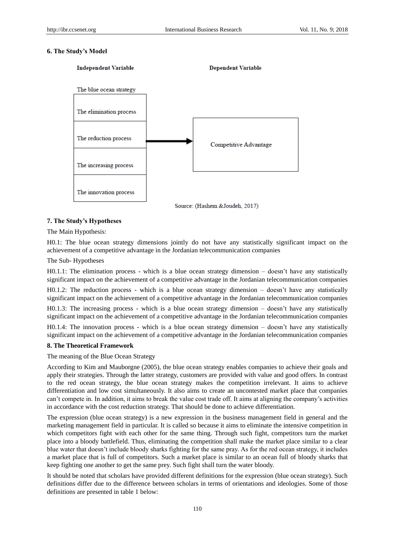# **6. The Study's Model**



# **7. The Study's Hypotheses**

The Main Hypothesis:

H0.1: The blue ocean strategy dimensions jointly do not have any statistically significant impact on the achievement of a competitive advantage in the Jordanian telecommunication companies

The Sub- Hypotheses

H0.1.1: The elimination process - which is a blue ocean strategy dimension – doesn't have any statistically significant impact on the achievement of a competitive advantage in the Jordanian telecommunication companies

H0.1.2: The reduction process - which is a blue ocean strategy dimension – doesn't have any statistically significant impact on the achievement of a competitive advantage in the Jordanian telecommunication companies

H0.1.3: The increasing process - which is a blue ocean strategy dimension – doesn't have any statistically significant impact on the achievement of a competitive advantage in the Jordanian telecommunication companies

H0.1.4: The innovation process - which is a blue ocean strategy dimension – doesn't have any statistically significant impact on the achievement of a competitive advantage in the Jordanian telecommunication companies

## **8. The Theoretical Framework**

The meaning of the Blue Ocean Strategy

According to Kim and Mauborgne (2005), the blue ocean strategy enables companies to achieve their goals and apply their strategies. Through the latter strategy, customers are provided with value and good offers. In contrast to the red ocean strategy, the blue ocean strategy makes the competition irrelevant. It aims to achieve differentiation and low cost simultaneously. It also aims to create an uncontested market place that companies can't compete in. In addition, it aims to break the value cost trade off. It aims at aligning the company's activities in accordance with the cost reduction strategy. That should be done to achieve differentiation.

The expression (blue ocean strategy) is a new expression in the business management field in general and the marketing management field in particular. It is called so because it aims to eliminate the intensive competition in which competitors fight with each other for the same thing. Through such fight, competitors turn the market place into a bloody battlefield. Thus, eliminating the competition shall make the market place similar to a clear blue water that doesn't include bloody sharks fighting for the same pray. As for the red ocean strategy, it includes a market place that is full of competitors. Such a market place is similar to an ocean full of bloody sharks that keep fighting one another to get the same prey. Such fight shall turn the water bloody.

It should be noted that scholars have provided different definitions for the expression (blue ocean strategy). Such definitions differ due to the difference between scholars in terms of orientations and ideologies. Some of those definitions are presented in table 1 below: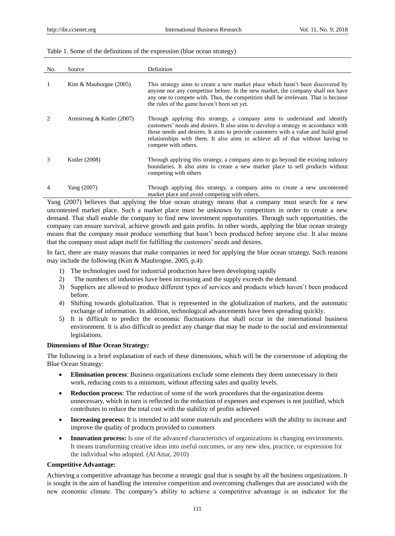## Table 1. Some of the definitions of the expression (blue ocean strategy)

| No.                           | Source                    | Definition                                                                                                                                                                                                                                                                                                                                                      |
|-------------------------------|---------------------------|-----------------------------------------------------------------------------------------------------------------------------------------------------------------------------------------------------------------------------------------------------------------------------------------------------------------------------------------------------------------|
| 1                             | Kim & Mauborgne $(2005)$  | This strategy aims to create a new market place which hasn't been discovered by<br>anyone nor any competitor before. In the new market, the company shall not have<br>any one to compete with. Thus, the competition shall be irrelevant. That is because<br>the rules of the game haven't been set yet.                                                        |
| $\mathfrak{D}_{\mathfrak{p}}$ | Armstrong & Kotler (2007) | Through applying this strategy, a company aims to understand and identify<br>customers' needs and desires. It also aims to develop a strategy in accordance with<br>those needs and desires. It aims to provide customers with a value and build good<br>relationships with them. It also aims to achieve all of that without having to<br>compete with others. |
| 3                             | Kotler (2008)             | Through applying this strategy, a company aims to go beyond the existing industry<br>boundaries. It also aims to create a new market place to sell products without<br>competing with others                                                                                                                                                                    |
| 4                             | Yang (2007)               | Through applying this strategy, a company aims to create a new uncontested<br>market place and avoid competing with others.                                                                                                                                                                                                                                     |

Yang (2007) believes that applying the blue ocean strategy means that a company must search for a new uncontested market place. Such a market place must be unknown by competitors in order to create a new demand. That shall enable the company to find new investment opportunities. Through such opportunities, the company can ensure survival, achieve growth and gain profits. In other words, applying the blue ocean strategy means that the company must produce something that hasn't been produced before anyone else. It also means that the company must adapt itself for fulfilling the customers' needs and desires.

In fact, there are many reasons that make companies in need for applying the blue ocean strategy. Such reasons may include the following (Kim & Maubrogne, 2005, p.4):

- 1) The technologies used for industrial production have been developing rapidly
- 2) The numbers of industries have been increasing and the supply exceeds the demand.
- 3) Suppliers are allowed to produce different types of services and products which haven't been produced before.
- 4) Shifting towards globalization. That is represented in the globalization of markets, and the automatic exchange of information. In addition, technological advancements have been spreading quickly.
- 5) It is difficult to predict the economic fluctuations that shall occur in the international business environment. It is also difficult to predict any change that may be made to the social and environmental legislations.

## **Dimensions of Blue Ocean Strategy:**

The following is a brief explanation of each of these dimensions, which will be the cornerstone of adopting the Blue Ocean Strategy:

- **Elimination process**: Business organizations exclude some elements they deem unnecessary in their work, reducing costs to a minimum, without affecting sales and quality levels.
- **Reduction process**: The reduction of some of the work procedures that the organization deems unnecessary, which in turn is reflected in the reduction of expenses and expenses is not justified, which contributes to reduce the total cost with the stability of profits achieved
- **Increasing process:** It is intended to add some materials and procedures with the ability to increase and improve the quality of products provided to customers
- **Innovation process:** Is one of the advanced characteristics of organizations in changing environments. It means transforming creative ideas into useful outcomes, or any new idea, practice, or expression for the individual who adopted. (Al Attar, 2010)

## **Competitive Advantage:**

Achieving a competitive advantage has become a strategic goal that is sought by all the business organizations. It is sought in the aim of handling the intensive competition and overcoming challenges that are associated with the new economic climate. The company's ability to achieve a competitive advantage is an indicator for the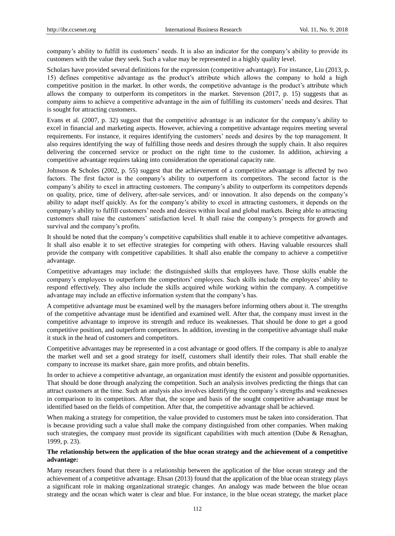company's ability to fulfill its customers' needs. It is also an indicator for the company's ability to provide its customers with the value they seek. Such a value may be represented in a highly quality level.

Scholars have provided several definitions for the expression (competitive advantage). For instance, Liu (2013, p. 15) defines competitive advantage as the product's attribute which allows the company to hold a high competitive position in the market. In other words, the competitive advantage is the product's attribute which allows the company to outperform its competitors in the market. Stevenson (2017, p. 15) suggests that as company aims to achieve a competitive advantage in the aim of fulfilling its customers' needs and desires. That is sought for attracting customers.

Evans et al. (2007, p. 32) suggest that the competitive advantage is an indicator for the company's ability to excel in financial and marketing aspects. However, achieving a competitive advantage requires meeting several requirements. For instance, it requires identifying the customers' needs and desires by the top management. It also requires identifying the way of fulfilling those needs and desires through the supply chain. It also requires delivering the concerned service or product on the right time to the customer. In addition, achieving a competitive advantage requires taking into consideration the operational capacity rate.

Johnson & Scholes (2002, p. 55) suggest that the achievement of a competitive advantage is affected by two factors. The first factor is the company's ability to outperform its competitors. The second factor is the company's ability to excel in attracting customers. The company's ability to outperform its competitors depends on quality, price, time of delivery, after-sale services, and/ or innovation. It also depends on the company's ability to adapt itself quickly. As for the company's ability to excel in attracting customers, it depends on the company's ability to fulfill customers' needs and desires within local and global markets. Being able to attracting customers shall raise the customers' satisfaction level. It shall raise the company's prospects for growth and survival and the company's profits.

It should be noted that the company's competitive capabilities shall enable it to achieve competitive advantages. It shall also enable it to set effective strategies for competing with others. Having valuable resources shall provide the company with competitive capabilities. It shall also enable the company to achieve a competitive advantage.

Competitive advantages may include: the distinguished skills that employees have. Those skills enable the company's employees to outperform the competitors' employees. Such skills include the employees' ability to respond effectively. They also include the skills acquired while working within the company. A competitive advantage may include an effective information system that the company's has.

A competitive advantage must be examined well by the managers before informing others about it. The strengths of the competitive advantage must be identified and examined well. After that, the company must invest in the competitive advantage to improve its strength and reduce its weaknesses. That should be done to get a good competitive position, and outperform competitors. In addition, investing in the competitive advantage shall make it stuck in the head of customers and competitors.

Competitive advantages may be represented in a cost advantage or good offers. If the company is able to analyze the market well and set a good strategy for itself, customers shall identify their roles. That shall enable the company to increase its market share, gain more profits, and obtain benefits.

In order to achieve a competitive advantage, an organization must identify the existent and possible opportunities. That should be done through analyzing the competition. Such an analysis involves predicting the things that can attract customers at the time. Such an analysis also involves identifying the company's strengths and weaknesses in comparison to its competitors. After that, the scope and basis of the sought competitive advantage must be identified based on the fields of competition. After that, the competitive advantage shall be achieved.

When making a strategy for competition, the value provided to customers must be taken into consideration. That is because providing such a value shall make the company distinguished from other companies. When making such strategies, the company must provide its significant capabilities with much attention (Dube & Renaghan, 1999, p. 23).

# **The relationship between the application of the blue ocean strategy and the achievement of a competitive advantage:**

Many researchers found that there is a relationship between the application of the blue ocean strategy and the achievement of a competitive advantage. Ehsan (2013) found that the application of the blue ocean strategy plays a significant role in making organizational strategic changes. An analogy was made between the blue ocean strategy and the ocean which water is clear and blue. For instance, in the blue ocean strategy, the market place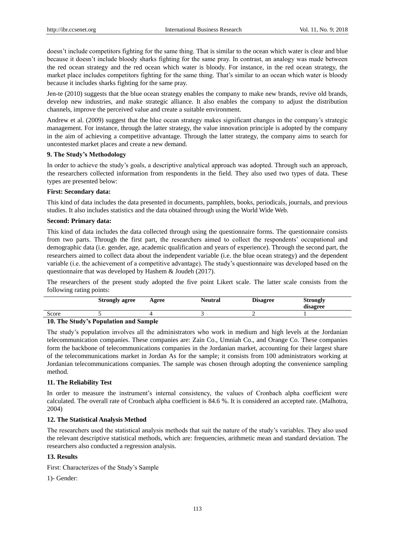doesn't include competitors fighting for the same thing. That is similar to the ocean which water is clear and blue because it doesn't include bloody sharks fighting for the same pray. In contrast, an analogy was made between the red ocean strategy and the red ocean which water is bloody. For instance, in the red ocean strategy, the market place includes competitors fighting for the same thing. That's similar to an ocean which water is bloody because it includes sharks fighting for the same pray.

Jen-te (2010) suggests that the blue ocean strategy enables the company to make new brands, revive old brands, develop new industries, and make strategic alliance. It also enables the company to adjust the distribution channels, improve the perceived value and create a suitable environment.

Andrew et al. (2009) suggest that the blue ocean strategy makes significant changes in the company's strategic management. For instance, through the latter strategy, the value innovation principle is adopted by the company in the aim of achieving a competitive advantage. Through the latter strategy, the company aims to search for uncontested market places and create a new demand.

## **9. The Study's Methodology**

In order to achieve the study's goals, a descriptive analytical approach was adopted. Through such an approach, the researchers collected information from respondents in the field. They also used two types of data. These types are presented below:

## **First: Secondary data:**

This kind of data includes the data presented in documents, pamphlets, books, periodicals, journals, and previous studies. It also includes statistics and the data obtained through using the World Wide Web.

## **Second: Primary data:**

This kind of data includes the data collected through using the questionnaire forms. The questionnaire consists from two parts. Through the first part, the researchers aimed to collect the respondents' occupational and demographic data (i.e. gender, age, academic qualification and years of experience). Through the second part, the researchers aimed to collect data about the independent variable (i.e. the blue ocean strategy) and the dependent variable (i.e. the achievement of a competitive advantage). The study's questionnaire was developed based on the questionnaire that was developed by Hashem & Joudeh (2017).

The researchers of the present study adopted the five point Likert scale. The latter scale consists from the following rating points:

|       | <b>Strongly agree</b>                   | Agree | Neutral | <b>Disagree</b> | <b>Strongly</b><br>disagree |
|-------|-----------------------------------------|-------|---------|-----------------|-----------------------------|
| Score |                                         |       |         |                 |                             |
|       | 10 The Children Department on J Consule |       |         |                 |                             |

# **10. The Study's Population and Sample**

The study's population involves all the administrators who work in medium and high levels at the Jordanian telecommunication companies. These companies are: Zain Co., Umniah Co., and Orange Co. These companies form the backbone of telecommunications companies in the Jordanian market, accounting for their largest share of the telecommunications market in Jordan As for the sample; it consists from 100 administrators working at Jordanian telecommunications companies. The sample was chosen through adopting the convenience sampling method.

# **11. The Reliability Test**

In order to measure the instrument's internal consistency, the values of Cronbach alpha coefficient were calculated. The overall rate of Cronbach alpha coefficient is 84.6 %. It is considered an accepted rate. (Malhotra, 2004)

# **12. The Statistical Analysis Method**

The researchers used the statistical analysis methods that suit the nature of the study's variables. They also used the relevant descriptive statistical methods, which are: frequencies, arithmetic mean and standard deviation. The researchers also conducted a regression analysis.

# **13. Results**

First: Characterizes of the Study's Sample

1)- Gender: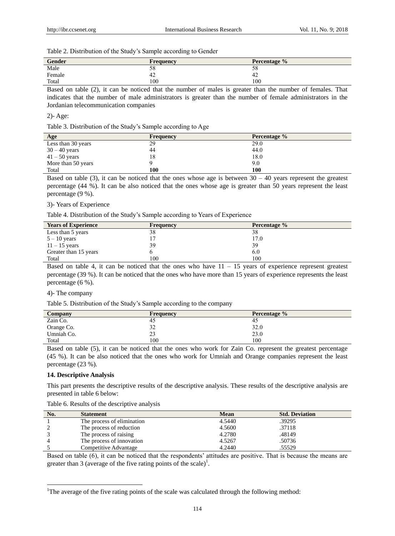Table 2. Distribution of the Study's Sample according to Gender

| <b>Gender</b> | Frequency | Percentage % |
|---------------|-----------|--------------|
| Male          | 58        | 58           |
| Female        | 42        | 42           |
| Total         | 100       | 100          |

Based on table (2), it can be noticed that the number of males is greater than the number of females. That indicates that the number of male administrators is greater than the number of female administrators in the Jordanian telecommunication companies

#### 2)- Age:

Table 3. Distribution of the Study's Sample according to Age

| Age                | <b>Frequency</b> | <b>Percentage</b> % |
|--------------------|------------------|---------------------|
| Less than 30 years | 29               | 29.0                |
| $30 - 40$ years    | 44               | 44.0                |
| $41 - 50$ years    | 18               | 18.0                |
| More than 50 years |                  | 9.0                 |
| Total              | 100              | 100                 |

Based on table (3), it can be noticed that the ones whose age is between  $30 - 40$  years represent the greatest percentage (44 %). It can be also noticed that the ones whose age is greater than 50 years represent the least percentage (9 %).

#### 3)- Years of Experience

Table 4. Distribution of the Study's Sample according to Years of Experience

| <b>Years of Experience</b> | Frequency | Percentage % |
|----------------------------|-----------|--------------|
| Less than 5 years          | 38        | 38           |
| $5 - 10$ years             |           | 17.0         |
| $11 - 15$ years            | 39        | 39           |
| Greater than 15 years      |           | 6.0          |
| Total                      | 100       | 100          |

Based on table 4, it can be noticed that the ones who have  $11 - 15$  years of experience represent greatest percentage (39 %). It can be noticed that the ones who have more than 15 years of experience represents the least percentage (6 %).

## 4)- The company

Table 5. Distribution of the Study's Sample according to the company

| Company    | <b>Frequency</b> | Percentage % |
|------------|------------------|--------------|
| Zain Co.   | 45               | -45          |
| Orange Co. | 32               | 32.0         |
| Umniah Co. | 23               | 23.0         |
| Total      | 100              | 100          |

Based on table (5), it can be noticed that the ones who work for Zain Co. represent the greatest percentage (45 %). It can be also noticed that the ones who work for Umniah and Orange companies represent the least percentage (23 %).

## **14. Descriptive Analysis**

-

This part presents the descriptive results of the descriptive analysis. These results of the descriptive analysis are presented in table 6 below:

Table 6. Results of the descriptive analysis

| No. | <b>Statement</b>           | <b>Mean</b> | <b>Std. Deviation</b> |  |
|-----|----------------------------|-------------|-----------------------|--|
|     | The process of elimination | 4.5440      | .39295                |  |
|     | The process of reduction   | 4.5600      | .37118                |  |
|     | The process of raising     | 4.2780      | .48149                |  |
|     | The process of innovation  | 4.5267      | .50736                |  |
|     | Competitive Advantage      | 4.2440      | .55529                |  |

Based on table (6), it can be noticed that the respondents' attitudes are positive. That is because the means are greater than 3 (average of the five rating points of the scale)<sup>1</sup>.

<sup>&</sup>lt;sup>1</sup>The average of the five rating points of the scale was calculated through the following method: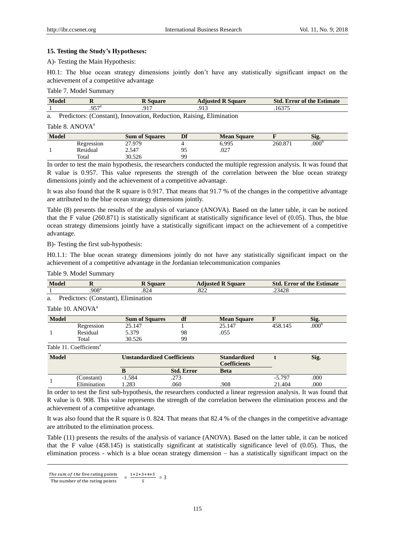# **15. Testing the Study's Hypotheses:**

A)- Testing the Main Hypothesis:

H0.1: The blue ocean strategy dimensions jointly don't have any statistically significant impact on the achievement of a competitive advantage

## Table 7. Model Summary

| <b>Model</b> |             | D.<br>Square         | <b>P</b> Square<br><b>Adjusted</b> | <b>Std</b><br><b>Error of the Estimate</b> |
|--------------|-------------|----------------------|------------------------------------|--------------------------------------------|
|              | 057ª<br>، ب | 01 <sup>7</sup><br>. | 913<br>.                           | $1637^{\circ}$                             |

a. Predictors: (Constant), Innovation, Reduction, Raising, Elimination

# Table 8. ANOVA<sup>a</sup>

| <b>Model</b> |            | <b>Sum of Squares</b> | Df        | <b>Mean Square</b> |         | Sig.              |  |
|--------------|------------|-----------------------|-----------|--------------------|---------|-------------------|--|
|              | Regression | 27.979                |           | 6.995              | 260.871 | .000 <sup>b</sup> |  |
|              | Residual   | 2.547                 | ∩⊆<br>ر 7 | .027               |         |                   |  |
|              | Total      | 30.526                | QQ        |                    |         |                   |  |

In order to test the main hypothesis, the researchers conducted the multiple regression analysis. It was found that R value is 0.957. This value represents the strength of the correlation between the blue ocean strategy dimensions jointly and the achievement of a competitive advantage.

It was also found that the R square is 0.917. That means that 91.7 % of the changes in the competitive advantage are attributed to the blue ocean strategy dimensions jointly.

Table (8) presents the results of the analysis of variance (ANOVA). Based on the latter table, it can be noticed that the F value (260.871) is statistically significant at statistically significance level of (0.05). Thus, the blue ocean strategy dimensions jointly have a statistically significant impact on the achievement of a competitive advantage.

B)- Testing the first sub-hypothesis:

H0.1.1: The blue ocean strategy dimensions jointly do not have any statistically significant impact on the achievement of a competitive advantage in the Jordanian telecommunication companies

| Table 9. Model Summary |  |
|------------------------|--|
|------------------------|--|

| <b>Model</b> | $\bf{R}$                            | <b>R</b> Square                    |                   | <b>Adjusted R Square</b>                   |              | <b>Std. Error of the Estimate</b> |
|--------------|-------------------------------------|------------------------------------|-------------------|--------------------------------------------|--------------|-----------------------------------|
|              | .908 <sup>a</sup>                   | .824                               | .822              |                                            | .23428       |                                   |
| a.           | Predictors: (Constant), Elimination |                                    |                   |                                            |              |                                   |
|              | Table 10. ANOVA <sup>a</sup>        |                                    |                   |                                            |              |                                   |
| <b>Model</b> |                                     | <b>Sum of Squares</b>              | df                | <b>Mean Square</b>                         | $\mathbf{F}$ | Sig.                              |
|              | Regression                          | 25.147                             |                   | 25.147                                     | 458.145      | .000 <sup>b</sup>                 |
|              | Residual                            | 5.379                              | 98                | .055                                       |              |                                   |
|              | Total                               | 30.526                             | 99                |                                            |              |                                   |
|              | Table 11. Coefficients <sup>a</sup> |                                    |                   |                                            |              |                                   |
| <b>Model</b> |                                     | <b>Unstandardized Coefficients</b> |                   | <b>Standardized</b><br><b>Coefficients</b> |              | Sig.                              |
|              |                                     | <sup>B</sup>                       | <b>Std. Error</b> | <b>Beta</b>                                |              |                                   |
|              | (Constant)                          | $-1.584$                           | .273              |                                            | $-5.797$     | .000                              |
|              | Elimination                         | 1.283                              | .060              | .908                                       | 21.404       | .000                              |

In order to test the first sub-hypothesis, the researchers conducted a linear regression analysis. It was found that R value is 0. 908. This value represents the strength of the correlation between the elimination process and the achievement of a competitive advantage.

It was also found that the R square is 0. 824. That means that 82.4 % of the changes in the competitive advantage are attributed to the elimination process.

Table (11) presents the results of the analysis of variance (ANOVA). Based on the latter table, it can be noticed that the F value (458.145) is statistically significant at statistically significance level of (0.05). Thus, the elimination process - which is a blue ocean strategy dimension – has a statistically significant impact on the

-

The sum of the five rating points<br>The number of the rating points  $=$   $\frac{1+2+3+4+5}{5}$  $\frac{3+4+3}{5}$  = 3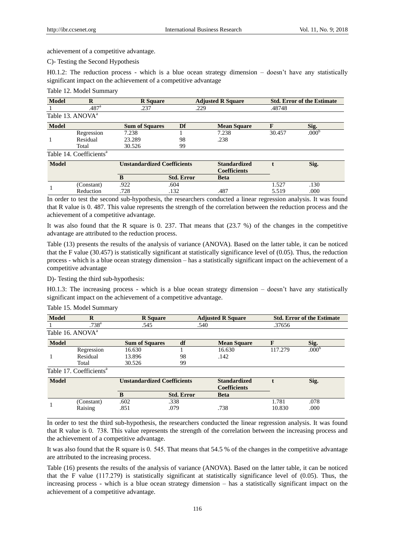achievement of a competitive advantage.

C)- Testing the Second Hypothesis

H0.1.2: The reduction process - which is a blue ocean strategy dimension – doesn't have any statistically significant impact on the achievement of a competitive advantage

#### Table 12. Model Summary

| <b>Model</b> |                                     | <b>R</b> Square       |    | <b>Adjusted R Square</b> |        | <b>Std. Error of the Estimate</b> |
|--------------|-------------------------------------|-----------------------|----|--------------------------|--------|-----------------------------------|
|              | $.487$ <sup>a</sup>                 | .237                  |    | .229                     | .48748 |                                   |
|              | Table 13. ANOVA <sup>a</sup>        |                       |    |                          |        |                                   |
| <b>Model</b> |                                     | <b>Sum of Squares</b> | Df | <b>Mean Square</b>       |        | Sig.                              |
|              | Regression                          | 7.238                 |    | 7.238                    | 30.457 | .000                              |
|              | Residual                            | 23.289                | 98 | .238                     |        |                                   |
|              | Total                               | 30.526                | 99 |                          |        |                                   |
|              | Table 14. Coefficients <sup>a</sup> |                       |    |                          |        |                                   |

| <b>Model</b> |            |     | Unstandardized Coefficients | <b>Standardized</b><br><b>Coefficients</b> |       | Sig. |  |
|--------------|------------|-----|-----------------------------|--------------------------------------------|-------|------|--|
|              |            |     | <b>Std. Error</b>           | <b>Beta</b>                                |       |      |  |
|              | (Constant) | 922 | .604                        |                                            | 527   | .130 |  |
|              | Reduction  | 728 | $\mathfrak{D}$<br>ے رہے.    | .487                                       | 5.519 | .000 |  |

In order to test the second sub-hypothesis, the researchers conducted a linear regression analysis. It was found that R value is 0. 487. This value represents the strength of the correlation between the reduction process and the achievement of a competitive advantage.

It was also found that the R square is 0. 237. That means that (23.7 %) of the changes in the competitive advantage are attributed to the reduction process.

Table (13) presents the results of the analysis of variance (ANOVA). Based on the latter table, it can be noticed that the F value (30.457) is statistically significant at statistically significance level of (0.05). Thus, the reduction process - which is a blue ocean strategy dimension – has a statistically significant impact on the achievement of a competitive advantage

D)- Testing the third sub-hypothesis:

H0.1.3: The increasing process - which is a blue ocean strategy dimension – doesn't have any statistically significant impact on the achievement of a competitive advantage.

| <b>Model</b><br>ĸ |                                     | <b>R</b> Square       | <b>Adjusted R Square</b> |                    | <b>Std. Error of the Estimate</b> |                   |  |
|-------------------|-------------------------------------|-----------------------|--------------------------|--------------------|-----------------------------------|-------------------|--|
|                   | .738 <sup>a</sup>                   | .545                  | .540                     |                    | .37656                            |                   |  |
|                   | Table 16. ANOVA <sup>a</sup>        |                       |                          |                    |                                   |                   |  |
| <b>Model</b>      |                                     | <b>Sum of Squares</b> | df                       | <b>Mean Square</b> |                                   | Sig.              |  |
|                   | Regression                          | 16.630                |                          | 16.630             | 117.279                           | .000 <sup>t</sup> |  |
|                   | Residual                            | 13.896                | 98                       | .142               |                                   |                   |  |
|                   | Total                               | 30.526                | 99                       |                    |                                   |                   |  |
|                   | Table 17. Coefficients <sup>a</sup> |                       |                          |                    |                                   |                   |  |

#### Table 15. Model Summary

| <b>Model</b> |            |      | <b>Unstandardized Coefficients</b> | <b>Standardized</b><br><b>Coefficients</b> |        | Sig. |
|--------------|------------|------|------------------------------------|--------------------------------------------|--------|------|
|              |            |      | <b>Std. Error</b>                  | <b>Beta</b>                                |        |      |
|              | (Constant) | .602 | .338                               |                                            | l.781  | .078 |
|              | Raising    | .851 | .079                               | .738                                       | 10.830 | .000 |

In order to test the third sub-hypothesis, the researchers conducted the linear regression analysis. It was found that R value is 0. 738. This value represents the strength of the correlation between the increasing process and the achievement of a competitive advantage.

It was also found that the R square is 0. 545. That means that 54.5 % of the changes in the competitive advantage are attributed to the increasing process.

Table (16) presents the results of the analysis of variance (ANOVA). Based on the latter table, it can be noticed that the F value (117.279) is statistically significant at statistically significance level of (0.05). Thus, the increasing process - which is a blue ocean strategy dimension – has a statistically significant impact on the achievement of a competitive advantage.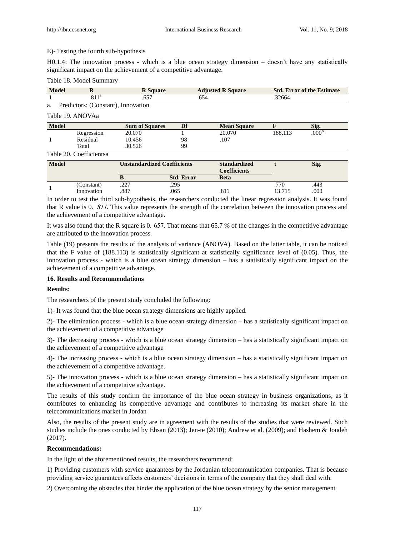## E)- Testing the fourth sub-hypothesis

H0.1.4: The innovation process - which is a blue ocean strategy dimension – doesn't have any statistically significant impact on the achievement of a competitive advantage.

## Table 18. Model Summary

| Model  |                                                                                                                                                                                                                                                                                                                                                                                                                                                                                                                                                                                                                          | <b>Adiusted R Square</b> | <b>Std. Error of the Estimate</b> |
|--------|--------------------------------------------------------------------------------------------------------------------------------------------------------------------------------------------------------------------------------------------------------------------------------------------------------------------------------------------------------------------------------------------------------------------------------------------------------------------------------------------------------------------------------------------------------------------------------------------------------------------------|--------------------------|-----------------------------------|
|        | 11a<br>.011                                                                                                                                                                                                                                                                                                                                                                                                                                                                                                                                                                                                              |                          | 32664                             |
| $\sim$ | $D$ <sub>read</sub> $\alpha$ <sub>1</sub> $\alpha$ <sub>1</sub> $\alpha$ <sub>2</sub> $\alpha$ <sub>1</sub> $\alpha$ <sub>1</sub> $\alpha$ <sub>1</sub> $\alpha$ <sub>1</sub> $\alpha$ <sub>1</sub> $\alpha$ <sub>1</sub> $\alpha$ <sub>1</sub> $\alpha$ <sub>1</sub> $\alpha$ <sub>1</sub> $\alpha$ <sub>1</sub> $\alpha$ <sub>1</sub> $\alpha$ <sub>1</sub> $\alpha$ <sub>1</sub> $\alpha$ <sub>1</sub> $\alpha$ <sub>1</sub> $\alpha$ <sub>1</sub> $\alpha$ <sub>1</sub> $\alpha$ <sub>1</sub> $\alpha$ <sub>1</sub> $\alpha$ <sub>1</sub> $\alpha$ <sub>1</sub> $\alpha$ <sub>1</sub> $\alpha$ <sub>1</sub> $\alpha$ |                          |                                   |

a. Predictors: (Constant), Innovation

## Table 19. ANOVAa

| <b>Model</b> |            | <b>Sum of Squares</b> | Df | <b>Mean Square</b> |         | Sig.              |  |
|--------------|------------|-----------------------|----|--------------------|---------|-------------------|--|
|              | Regression | 20.070                |    | 20.070             | 188.113 | .000 <sup>b</sup> |  |
|              | Residual   | 10.456                | 98 | .107               |         |                   |  |
|              | Total      | 30.526                | 99 |                    |         |                   |  |

Table 20. Coefficientsa

| <b>Model</b> |            | <b>Unstandardized Coefficients</b> |                   | <b>Standardized</b><br><b>Coefficients</b> |        | Sig. |
|--------------|------------|------------------------------------|-------------------|--------------------------------------------|--------|------|
|              |            |                                    | <b>Std. Error</b> | <b>Beta</b>                                |        |      |
|              | (Constant) | າາາ<br>ا سامباره                   | .295              |                                            | 770    | .443 |
|              | Innovation | .887                               | .065              | .811                                       | 13.715 | .000 |

In order to test the third sub-hypothesis, the researchers conducted the linear regression analysis. It was found that R value is 0. 811. This value represents the strength of the correlation between the innovation process and the achievement of a competitive advantage.

It was also found that the R square is 0. 657. That means that 65.7 % of the changes in the competitive advantage are attributed to the innovation process.

Table (19) presents the results of the analysis of variance (ANOVA). Based on the latter table, it can be noticed that the F value of (188.113) is statistically significant at statistically significance level of (0.05). Thus, the innovation process - which is a blue ocean strategy dimension – has a statistically significant impact on the achievement of a competitive advantage.

## **16. Results and Recommendations**

## **Results:**

The researchers of the present study concluded the following:

1)- It was found that the blue ocean strategy dimensions are highly applied.

2)- The elimination process - which is a blue ocean strategy dimension – has a statistically significant impact on the achievement of a competitive advantage

3)- The decreasing process - which is a blue ocean strategy dimension – has a statistically significant impact on the achievement of a competitive advantage

4)- The increasing process - which is a blue ocean strategy dimension – has a statistically significant impact on the achievement of a competitive advantage.

5)- The innovation process - which is a blue ocean strategy dimension – has a statistically significant impact on the achievement of a competitive advantage.

The results of this study confirm the importance of the blue ocean strategy in business organizations, as it contributes to enhancing its competitive advantage and contributes to increasing its market share in the telecommunications market in Jordan

Also, the results of the present study are in agreement with the results of the studies that were reviewed. Such studies include the ones conducted by Ehsan (2013); Jen-te (2010); Andrew et al. (2009); and Hashem & Joudeh (2017).

## **Recommendations:**

In the light of the aforementioned results, the researchers recommend:

1) Providing customers with service guarantees by the Jordanian telecommunication companies. That is because providing service guarantees affects customers' decisions in terms of the company that they shall deal with.

2) Overcoming the obstacles that hinder the application of the blue ocean strategy by the senior management